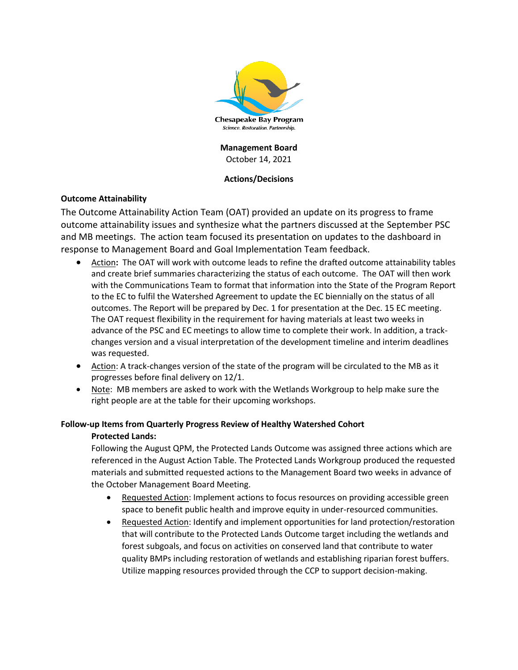

**Management Board** October 14, 2021

# **Actions/Decisions**

# **Outcome Attainability**

The Outcome Attainability Action Team (OAT) provided an update on its progress to frame outcome attainability issues and synthesize what the partners discussed at the September PSC and MB meetings. The action team focused its presentation on updates to the dashboard in response to Management Board and Goal Implementation Team feedback.

- Action**:** The OAT will work with outcome leads to refine the drafted outcome attainability tables and create brief summaries characterizing the status of each outcome. The OAT will then work with the Communications Team to format that information into the State of the Program Report to the EC to fulfil the Watershed Agreement to update the EC biennially on the status of all outcomes. The Report will be prepared by Dec. 1 for presentation at the Dec. 15 EC meeting. The OAT request flexibility in the requirement for having materials at least two weeks in advance of the PSC and EC meetings to allow time to complete their work. In addition, a trackchanges version and a visual interpretation of the development timeline and interim deadlines was requested.
- Action: A track-changes version of the state of the program will be circulated to the MB as it progresses before final delivery on 12/1.
- Note: MB members are asked to work with the Wetlands Workgroup to help make sure the right people are at the table for their upcoming workshops.

# **Follow-up Items from Quarterly Progress Review of Healthy Watershed Cohort Protected Lands:**

Following the August QPM, the Protected Lands Outcome was assigned three actions which are referenced in the August Action Table. The Protected Lands Workgroup produced the requested materials and submitted requested actions to the Management Board two weeks in advance of the October Management Board Meeting.

- Requested Action: Implement actions to focus resources on providing accessible green space to benefit public health and improve equity in under-resourced communities.
- Requested Action: Identify and implement opportunities for land protection/restoration that will contribute to the Protected Lands Outcome target including the wetlands and forest subgoals, and focus on activities on conserved land that contribute to water quality BMPs including restoration of wetlands and establishing riparian forest buffers. Utilize mapping resources provided through the CCP to support decision-making.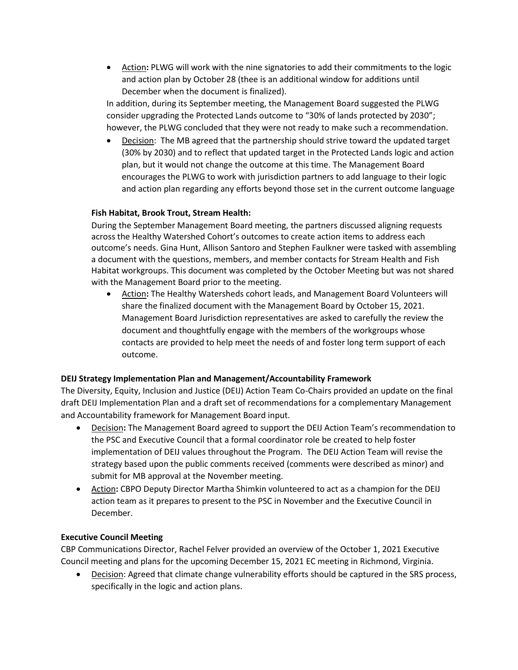• Action**:** PLWG will work with the nine signatories to add their commitments to the logic and action plan by October 28 (thee is an additional window for additions until December when the document is finalized).

In addition, during its September meeting, the Management Board suggested the PLWG consider upgrading the Protected Lands outcome to "30% of lands protected by 2030"; however, the PLWG concluded that they were not ready to make such a recommendation.

• Decision: The MB agreed that the partnership should strive toward the updated target (30% by 2030) and to reflect that updated target in the Protected Lands logic and action plan, but it would not change the outcome at this time. The Management Board encourages the PLWG to work with jurisdiction partners to add language to their logic and action plan regarding any efforts beyond those set in the current outcome language

# **Fish Habitat, Brook Trout, Stream Health:**

During the September Management Board meeting, the partners discussed aligning requests across the Healthy Watershed Cohort's outcomes to create action items to address each outcome's needs. Gina Hunt, Allison Santoro and Stephen Faulkner were tasked with assembling a document with the questions, members, and member contacts for Stream Health and Fish Habitat workgroups. This document was completed by the October Meeting but was not shared with the Management Board prior to the meeting.

• Action**:** The Healthy Watersheds cohort leads, and Management Board Volunteers will share the finalized document with the Management Board by October 15, 2021. Management Board Jurisdiction representatives are asked to carefully the review the document and thoughtfully engage with the members of the workgroups whose contacts are provided to help meet the needs of and foster long term support of each outcome.

# **DEIJ Strategy Implementation Plan and Management/Accountability Framework**

The Diversity, Equity, Inclusion and Justice (DEIJ) Action Team Co-Chairs provided an update on the final draft DEIJ Implementation Plan and a draft set of recommendations for a complementary Management and Accountability framework for Management Board input.

- Decision**:** The Management Board agreed to support the DEIJ Action Team's recommendation to the PSC and Executive Council that a formal coordinator role be created to help foster implementation of DEIJ values throughout the Program. The DEIJ Action Team will revise the strategy based upon the public comments received (comments were described as minor) and submit for MB approval at the November meeting.
- Action**:** CBPO Deputy Director Martha Shimkin volunteered to act as a champion for the DEIJ action team as it prepares to present to the PSC in November and the Executive Council in December.

### **Executive Council Meeting**

CBP Communications Director, Rachel Felver provided an overview of the October 1, 2021 Executive Council meeting and plans for the upcoming December 15, 2021 EC meeting in Richmond, Virginia.

• Decision: Agreed that climate change vulnerability efforts should be captured in the SRS process, specifically in the logic and action plans.